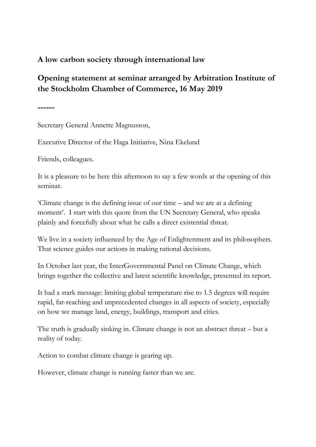## **A low carbon society through international law**

## **Opening statement at seminar arranged by Arbitration Institute of the Stockholm Chamber of Commerce, 16 May 2019**

**------**

Secretary General Annette Magnusson,

Executive Director of the Haga Initiative, Nina Ekelund

Friends, colleagues.

It is a pleasure to be here this afternoon to say a few words at the opening of this seminar.

'Climate change is the defining issue of our time – and we are at a defining moment'. I start with this quote from the UN Secretary General, who speaks plainly and forcefully about what he calls a direct existential threat.

We live in a society influenced by the Age of Enlightenment and its philosophers. That science guides our actions in making rational decisions.

In October last year, the InterGovernmental Panel on Climate Change, which brings together the collective and latest scientific knowledge, presented its report.

It had a stark message: limiting global temperature rise to 1.5 degrees will require rapid, far-reaching and unprecedented changes in all aspects of society, especially on how we manage land, energy, buildings, transport and cities.

The truth is gradually sinking in. Climate change is not an abstract threat – but a reality of today.

Action to combat climate change is gearing up.

However, climate change is running faster than we are.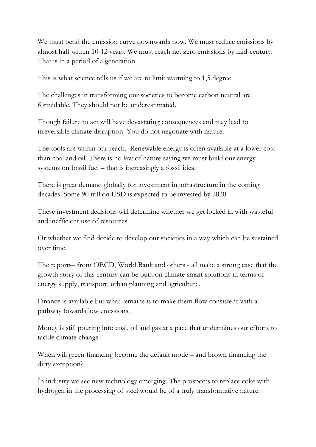We must bend the emission curve downwards now. We must reduce emissions by almost half within 10-12 years. We must reach net zero emissions by mid-century. That is in a period of a generation.

This is what science tells us if we are to limit warming to 1,5 degree.

The challenges in transforming our societies to become carbon neutral are formidable. They should not be underestimated.

Though failure to act will have devastating consequences and may lead to irreversible climate disruption. You do not negotiate with nature.

The tools are within our reach. Renewable energy is often available at a lower cost than coal and oil. There is no law of nature saying we must build our energy systems on fossil fuel – that is increasingly a fossil idea.

There is great demand globally for investment in infrastructure in the coming decades. Some 90 trillion USD is expected to be invested by 2030.

These investment decisions will determine whether we get locked in with wasteful and inefficient use of resources.

Or whether we find decide to develop our societies in a way which can be sustained over time.

The reports– from OECD, World Bank and others - all make a strong case that the growth story of this century can be built on climate smart solutions in terms of energy supply, transport, urban planning and agriculture.

Finance is available but what remains is to make them flow consistent with a pathway towards low emissions.

Money is still pouring into coal, oil and gas at a pace that undermines our efforts to tackle climate change

When will green financing become the default mode – and brown financing the dirty exception?

In industry we see new technology emerging. The prospects to replace coke with hydrogen in the processing of steel would be of a truly transformative nature.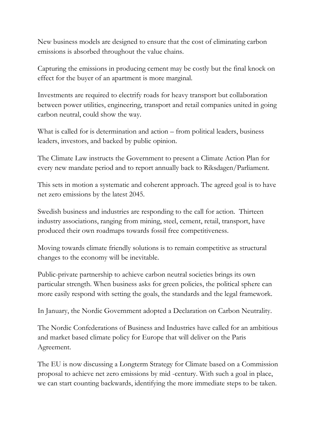New business models are designed to ensure that the cost of eliminating carbon emissions is absorbed throughout the value chains.

Capturing the emissions in producing cement may be costly but the final knock on effect for the buyer of an apartment is more marginal.

Investments are required to electrify roads for heavy transport but collaboration between power utilities, engineering, transport and retail companies united in going carbon neutral, could show the way.

What is called for is determination and action – from political leaders, business leaders, investors, and backed by public opinion.

The Climate Law instructs the Government to present a Climate Action Plan for every new mandate period and to report annually back to Riksdagen/Parliament.

This sets in motion a systematic and coherent approach. The agreed goal is to have net zero emissions by the latest 2045.

Swedish business and industries are responding to the call for action. Thirteen industry associations, ranging from mining, steel, cement, retail, transport, have produced their own roadmaps towards fossil free competitiveness.

Moving towards climate friendly solutions is to remain competitive as structural changes to the economy will be inevitable.

Public-private partnership to achieve carbon neutral societies brings its own particular strength. When business asks for green policies, the political sphere can more easily respond with setting the goals, the standards and the legal framework.

In January, the Nordic Government adopted a Declaration on Carbon Neutrality.

The Nordic Confederations of Business and Industries have called for an ambitious and market based climate policy for Europe that will deliver on the Paris Agreement.

The EU is now discussing a Longterm Strategy for Climate based on a Commission proposal to achieve net zero emissions by mid -century. With such a goal in place, we can start counting backwards, identifying the more immediate steps to be taken.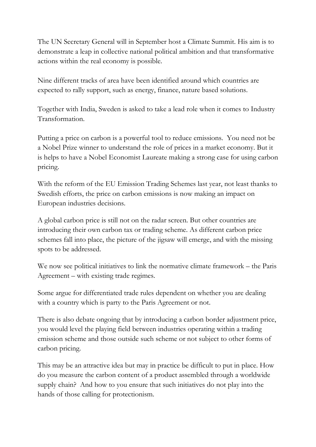The UN Secretary General will in September host a Climate Summit. His aim is to demonstrate a leap in collective national political ambition and that transformative actions within the real economy is possible.

Nine different tracks of area have been identified around which countries are expected to rally support, such as energy, finance, nature based solutions.

Together with India, Sweden is asked to take a lead role when it comes to Industry Transformation.

Putting a price on carbon is a powerful tool to reduce emissions. You need not be a Nobel Prize winner to understand the role of prices in a market economy. But it is helps to have a Nobel Economist Laureate making a strong case for using carbon pricing.

With the reform of the EU Emission Trading Schemes last year, not least thanks to Swedish efforts, the price on carbon emissions is now making an impact on European industries decisions.

A global carbon price is still not on the radar screen. But other countries are introducing their own carbon tax or trading scheme. As different carbon price schemes fall into place, the picture of the jigsaw will emerge, and with the missing spots to be addressed.

We now see political initiatives to link the normative climate framework – the Paris Agreement – with existing trade regimes.

Some argue for differentiated trade rules dependent on whether you are dealing with a country which is party to the Paris Agreement or not.

There is also debate ongoing that by introducing a carbon border adjustment price, you would level the playing field between industries operating within a trading emission scheme and those outside such scheme or not subject to other forms of carbon pricing.

This may be an attractive idea but may in practice be difficult to put in place. How do you measure the carbon content of a product assembled through a worldwide supply chain? And how to you ensure that such initiatives do not play into the hands of those calling for protectionism.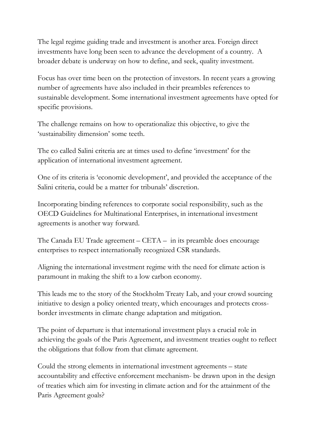The legal regime guiding trade and investment is another area. Foreign direct investments have long been seen to advance the development of a country. A broader debate is underway on how to define, and seek, quality investment.

Focus has over time been on the protection of investors. In recent years a growing number of agreements have also included in their preambles references to sustainable development. Some international investment agreements have opted for specific provisions.

The challenge remains on how to operationalize this objective, to give the 'sustainability dimension' some teeth.

The co called Salini criteria are at times used to define 'investment' for the application of international investment agreement.

One of its criteria is 'economic development', and provided the acceptance of the Salini criteria, could be a matter for tribunals' discretion.

Incorporating binding references to corporate social responsibility, such as the OECD Guidelines for Multinational Enterprises, in international investment agreements is another way forward.

The Canada EU Trade agreement  $-CETA - in$  in its preamble does encourage enterprises to respect internationally recognized CSR standards.

Aligning the international investment regime with the need for climate action is paramount in making the shift to a low carbon economy.

This leads me to the story of the Stockholm Treaty Lab, and your crowd sourcing initiative to design a policy oriented treaty, which encourages and protects crossborder investments in climate change adaptation and mitigation.

The point of departure is that international investment plays a crucial role in achieving the goals of the Paris Agreement, and investment treaties ought to reflect the obligations that follow from that climate agreement.

Could the strong elements in international investment agreements – state accountability and effective enforcement mechanism- be drawn upon in the design of treaties which aim for investing in climate action and for the attainment of the Paris Agreement goals?